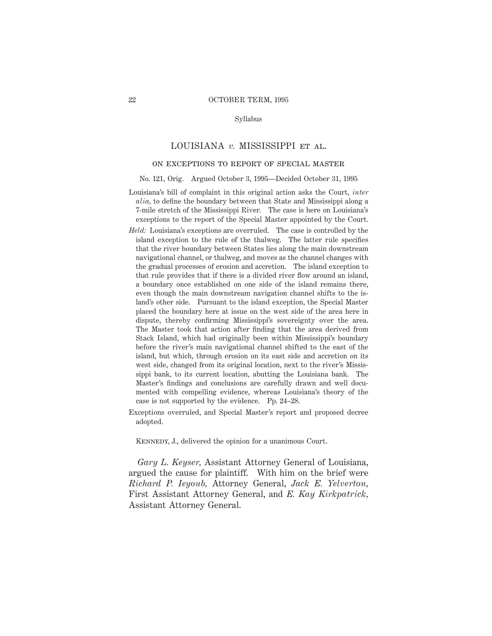#### Syllabus

## LOUISIANA *v.* MISSISSIPPI et al.

# on exceptions to report of special master

#### No. 121, Orig. Argued October 3, 1995—Decided October 31, 1995

- Louisiana's bill of complaint in this original action asks the Court, *inter alia,* to define the boundary between that State and Mississippi along a 7-mile stretch of the Mississippi River. The case is here on Louisiana's exceptions to the report of the Special Master appointed by the Court.
- *Held:* Louisiana's exceptions are overruled. The case is controlled by the island exception to the rule of the thalweg. The latter rule specifies that the river boundary between States lies along the main downstream navigational channel, or thalweg, and moves as the channel changes with the gradual processes of erosion and accretion. The island exception to that rule provides that if there is a divided river flow around an island, a boundary once established on one side of the island remains there, even though the main downstream navigation channel shifts to the island's other side. Pursuant to the island exception, the Special Master placed the boundary here at issue on the west side of the area here in dispute, thereby confirming Mississippi's sovereignty over the area. The Master took that action after finding that the area derived from Stack Island, which had originally been within Mississippi's boundary before the river's main navigational channel shifted to the east of the island, but which, through erosion on its east side and accretion on its west side, changed from its original location, next to the river's Mississippi bank, to its current location, abutting the Louisiana bank. The Master's findings and conclusions are carefully drawn and well documented with compelling evidence, whereas Louisiana's theory of the case is not supported by the evidence. Pp. 24–28.
- Exceptions overruled, and Special Master's report and proposed decree adopted.

KENNEDY, J., delivered the opinion for a unanimous Court.

*Gary L. Keyser,* Assistant Attorney General of Louisiana, argued the cause for plaintiff. With him on the brief were *Richard P. Ieyoub,* Attorney General, *Jack E. Yelverton,* First Assistant Attorney General, and *E. Kay Kirkpatrick,* Assistant Attorney General.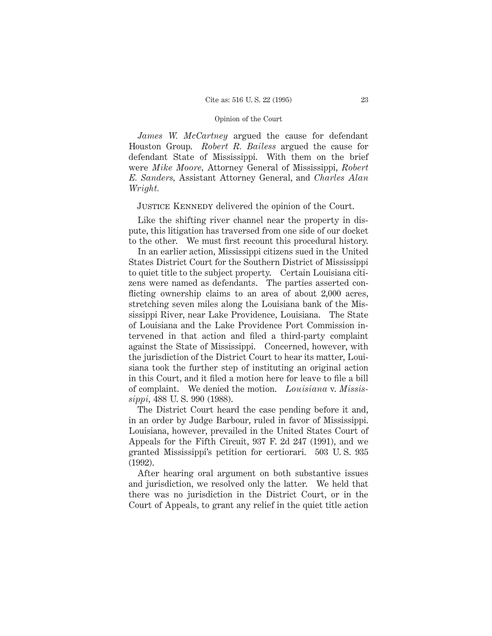*James W. McCartney* argued the cause for defendant Houston Group. *Robert R. Bailess* argued the cause for defendant State of Mississippi. With them on the brief were *Mike Moore,* Attorney General of Mississippi, *Robert E. Sanders,* Assistant Attorney General, and *Charles Alan Wright.*

JUSTICE KENNEDY delivered the opinion of the Court.

Like the shifting river channel near the property in dispute, this litigation has traversed from one side of our docket to the other. We must first recount this procedural history.

In an earlier action, Mississippi citizens sued in the United States District Court for the Southern District of Mississippi to quiet title to the subject property. Certain Louisiana citizens were named as defendants. The parties asserted conflicting ownership claims to an area of about 2,000 acres, stretching seven miles along the Louisiana bank of the Mississippi River, near Lake Providence, Louisiana. The State of Louisiana and the Lake Providence Port Commission intervened in that action and filed a third-party complaint against the State of Mississippi. Concerned, however, with the jurisdiction of the District Court to hear its matter, Louisiana took the further step of instituting an original action in this Court, and it filed a motion here for leave to file a bill of complaint. We denied the motion. *Louisiana* v. *Mississippi,* 488 U. S. 990 (1988).

The District Court heard the case pending before it and, in an order by Judge Barbour, ruled in favor of Mississippi. Louisiana, however, prevailed in the United States Court of Appeals for the Fifth Circuit, 937 F. 2d 247 (1991), and we granted Mississippi's petition for certiorari. 503 U. S. 935 (1992).

After hearing oral argument on both substantive issues and jurisdiction, we resolved only the latter. We held that there was no jurisdiction in the District Court, or in the Court of Appeals, to grant any relief in the quiet title action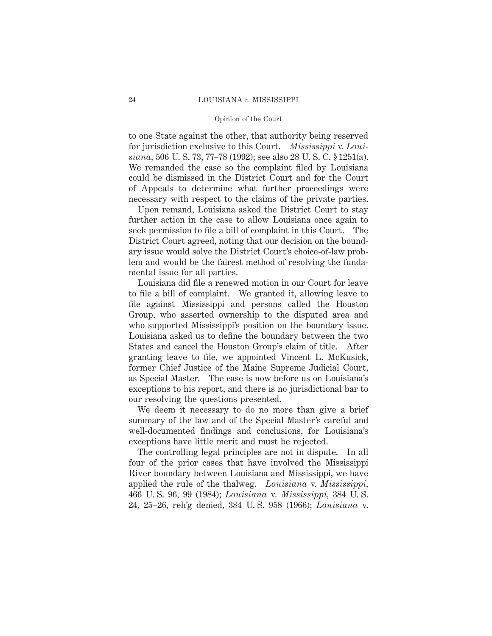to one State against the other, that authority being reserved for jurisdiction exclusive to this Court. *Mississippi* v. *Louisiana,* 506 U. S. 73, 77–78 (1992); see also 28 U. S. C. § 1251(a). We remanded the case so the complaint filed by Louisiana could be dismissed in the District Court and for the Court of Appeals to determine what further proceedings were necessary with respect to the claims of the private parties.

Upon remand, Louisiana asked the District Court to stay further action in the case to allow Louisiana once again to seek permission to file a bill of complaint in this Court. The District Court agreed, noting that our decision on the boundary issue would solve the District Court's choice-of-law problem and would be the fairest method of resolving the fundamental issue for all parties.

Louisiana did file a renewed motion in our Court for leave to file a bill of complaint. We granted it, allowing leave to file against Mississippi and persons called the Houston Group, who asserted ownership to the disputed area and who supported Mississippi's position on the boundary issue. Louisiana asked us to define the boundary between the two States and cancel the Houston Group's claim of title. After granting leave to file, we appointed Vincent L. McKusick, former Chief Justice of the Maine Supreme Judicial Court, as Special Master. The case is now before us on Louisiana's exceptions to his report, and there is no jurisdictional bar to our resolving the questions presented.

We deem it necessary to do no more than give a brief summary of the law and of the Special Master's careful and well-documented findings and conclusions, for Louisiana's exceptions have little merit and must be rejected.

The controlling legal principles are not in dispute. In all four of the prior cases that have involved the Mississippi River boundary between Louisiana and Mississippi, we have applied the rule of the thalweg. *Louisiana* v. *Mississippi,* 466 U. S. 96, 99 (1984); *Louisiana* v. *Mississippi,* 384 U. S. 24, 25–26, reh'g denied, 384 U. S. 958 (1966); *Louisiana* v.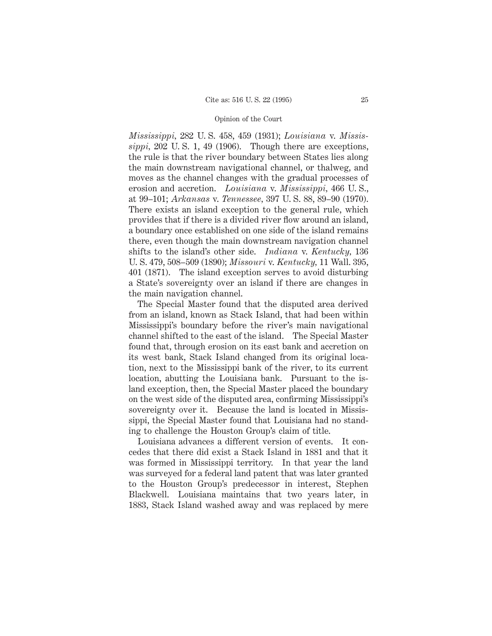*Mississippi,* 282 U. S. 458, 459 (1931); *Louisiana* v. *Mississippi,* 202 U. S. 1, 49 (1906). Though there are exceptions, the rule is that the river boundary between States lies along the main downstream navigational channel, or thalweg, and moves as the channel changes with the gradual processes of erosion and accretion. *Louisiana* v. *Mississippi,* 466 U. S., at 99–101; *Arkansas* v. *Tennessee,* 397 U. S. 88, 89–90 (1970). There exists an island exception to the general rule, which provides that if there is a divided river flow around an island, a boundary once established on one side of the island remains there, even though the main downstream navigation channel shifts to the island's other side. *Indiana* v. *Kentucky,* 136 U. S. 479, 508–509 (1890); *Missouri* v. *Kentucky,* 11 Wall. 395, 401 (1871). The island exception serves to avoid disturbing a State's sovereignty over an island if there are changes in the main navigation channel.

The Special Master found that the disputed area derived from an island, known as Stack Island, that had been within Mississippi's boundary before the river's main navigational channel shifted to the east of the island. The Special Master found that, through erosion on its east bank and accretion on its west bank, Stack Island changed from its original location, next to the Mississippi bank of the river, to its current location, abutting the Louisiana bank. Pursuant to the island exception, then, the Special Master placed the boundary on the west side of the disputed area, confirming Mississippi's sovereignty over it. Because the land is located in Mississippi, the Special Master found that Louisiana had no standing to challenge the Houston Group's claim of title.

Louisiana advances a different version of events. It concedes that there did exist a Stack Island in 1881 and that it was formed in Mississippi territory. In that year the land was surveyed for a federal land patent that was later granted to the Houston Group's predecessor in interest, Stephen Blackwell. Louisiana maintains that two years later, in 1883, Stack Island washed away and was replaced by mere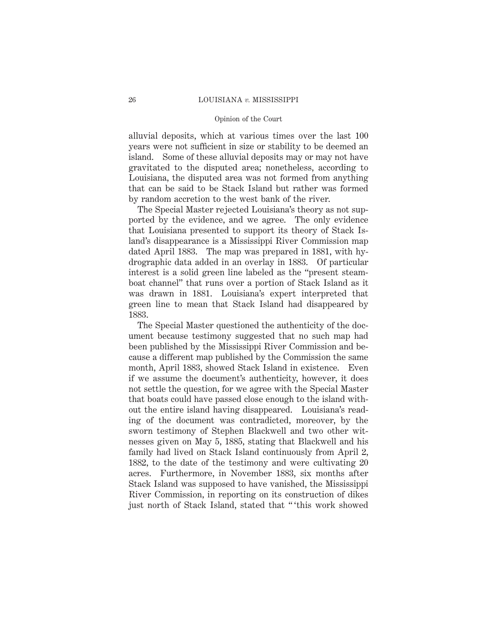alluvial deposits, which at various times over the last 100 years were not sufficient in size or stability to be deemed an island. Some of these alluvial deposits may or may not have gravitated to the disputed area; nonetheless, according to Louisiana, the disputed area was not formed from anything that can be said to be Stack Island but rather was formed by random accretion to the west bank of the river.

The Special Master rejected Louisiana's theory as not supported by the evidence, and we agree. The only evidence that Louisiana presented to support its theory of Stack Island's disappearance is a Mississippi River Commission map dated April 1883. The map was prepared in 1881, with hydrographic data added in an overlay in 1883. Of particular interest is a solid green line labeled as the "present steamboat channel" that runs over a portion of Stack Island as it was drawn in 1881. Louisiana's expert interpreted that green line to mean that Stack Island had disappeared by 1883.

The Special Master questioned the authenticity of the document because testimony suggested that no such map had been published by the Mississippi River Commission and because a different map published by the Commission the same month, April 1883, showed Stack Island in existence. Even if we assume the document's authenticity, however, it does not settle the question, for we agree with the Special Master that boats could have passed close enough to the island without the entire island having disappeared. Louisiana's reading of the document was contradicted, moreover, by the sworn testimony of Stephen Blackwell and two other witnesses given on May 5, 1885, stating that Blackwell and his family had lived on Stack Island continuously from April 2, 1882, to the date of the testimony and were cultivating 20 acres. Furthermore, in November 1883, six months after Stack Island was supposed to have vanished, the Mississippi River Commission, in reporting on its construction of dikes just north of Stack Island, stated that " 'this work showed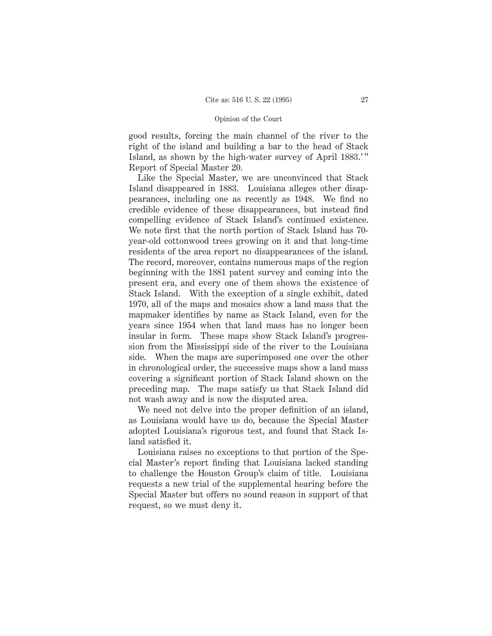good results, forcing the main channel of the river to the right of the island and building a bar to the head of Stack Island, as shown by the high-water survey of April 1883.'" Report of Special Master 20.

Like the Special Master, we are unconvinced that Stack Island disappeared in 1883. Louisiana alleges other disappearances, including one as recently as 1948. We find no credible evidence of these disappearances, but instead find compelling evidence of Stack Island's continued existence. We note first that the north portion of Stack Island has 70 year-old cottonwood trees growing on it and that long-time residents of the area report no disappearances of the island. The record, moreover, contains numerous maps of the region beginning with the 1881 patent survey and coming into the present era, and every one of them shows the existence of Stack Island. With the exception of a single exhibit, dated 1970, all of the maps and mosaics show a land mass that the mapmaker identifies by name as Stack Island, even for the years since 1954 when that land mass has no longer been insular in form. These maps show Stack Island's progression from the Mississippi side of the river to the Louisiana side. When the maps are superimposed one over the other in chronological order, the successive maps show a land mass covering a significant portion of Stack Island shown on the preceding map. The maps satisfy us that Stack Island did not wash away and is now the disputed area.

We need not delve into the proper definition of an island, as Louisiana would have us do, because the Special Master adopted Louisiana's rigorous test, and found that Stack Island satisfied it.

Louisiana raises no exceptions to that portion of the Special Master's report finding that Louisiana lacked standing to challenge the Houston Group's claim of title. Louisiana requests a new trial of the supplemental hearing before the Special Master but offers no sound reason in support of that request, so we must deny it.